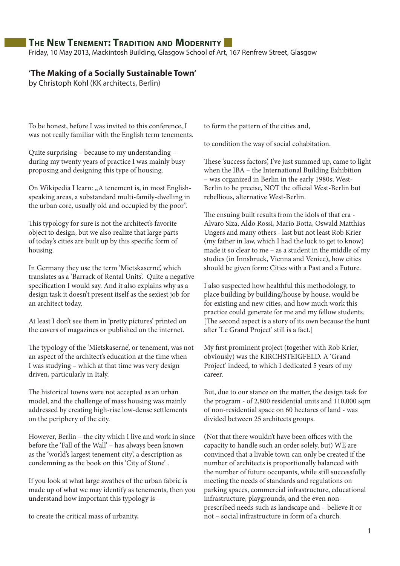# **The New Tenement: Tradition and Modernity**

Friday, 10 May 2013, Mackintosh Building, Glasgow School of Art, 167 Renfrew Street, Glasgow

#### **'The Making of a Socially Sustainable Town'**

by Christoph Kohl (KK architects, Berlin)

To be honest, before I was invited to this conference, I was not really familiar with the English term tenements.

Quite surprising – because to my understanding – during my twenty years of practice I was mainly busy proposing and designing this type of housing.

On Wikipedia I learn: "A tenement is, in most Englishspeaking areas, a substandard multi-family-dwelling in the urban core, usually old and occupied by the poor".

This typology for sure is not the architect's favorite object to design, but we also realize that large parts of today's cities are built up by this specific form of housing.

In Germany they use the term 'Mietskaserne', which translates as a 'Barrack of Rental Units'. Quite a negative specification I would say. And it also explains why as a design task it doesn't present itself as the sexiest job for an architect today.

At least I don't see them in 'pretty pictures' printed on the covers of magazines or published on the internet.

The typology of the 'Mietskaserne', or tenement, was not an aspect of the architect's education at the time when I was studying – which at that time was very design driven, particularly in Italy.

The historical towns were not accepted as an urban model, and the challenge of mass housing was mainly addressed by creating high-rise low-dense settlements on the periphery of the city.

However, Berlin – the city which I live and work in since before the 'Fall of the Wall' – has always been known as the 'world's largest tenement city', a description as condemning as the book on this 'City of Stone' .

If you look at what large swathes of the urban fabric is made up of what we may identify as tenements, then you understand how important this typology is –

to create the critical mass of urbanity,

to form the pattern of the cities and,

to condition the way of social cohabitation.

These 'success factors', I've just summed up, came to light when the IBA – the International Building Exhibition – was organized in Berlin in the early 1980s; West-Berlin to be precise, NOT the official West-Berlin but rebellious, alternative West-Berlin.

The ensuing built results from the idols of that era - Alvaro Siza, Aldo Rossi, Mario Botta, Oswald Matthias Ungers and many others - last but not least Rob Krier (my father in law, which I had the luck to get to know) made it so clear to me – as a student in the middle of my studies (in Innsbruck, Vienna and Venice), how cities should be given form: Cities with a Past and a Future.

I also suspected how healthful this methodology, to place building by building/house by house, would be for existing and new cities, and how much work this practice could generate for me and my fellow students. [The second aspect is a story of its own because the hunt after 'Le Grand Project' still is a fact.]

My first prominent project (together with Rob Krier, obviously) was the KIRCHSTEIGFELD. A 'Grand Project' indeed, to which I dedicated 5 years of my career.

But, due to our stance on the matter, the design task for the program - of 2,800 residential units and 110,000 sqm of non-residential space on 60 hectares of land - was divided between 25 architects groups.

(Not that there wouldn't have been offices with the capacity to handle such an order solely, but) WE are convinced that a livable town can only be created if the number of architects is proportionally balanced with the number of future occupants, while still successfully meeting the needs of standards and regulations on parking spaces, commercial infrastructure, educational infrastructure, playgrounds, and the even nonprescribed needs such as landscape and – believe it or not – social infrastructure in form of a church.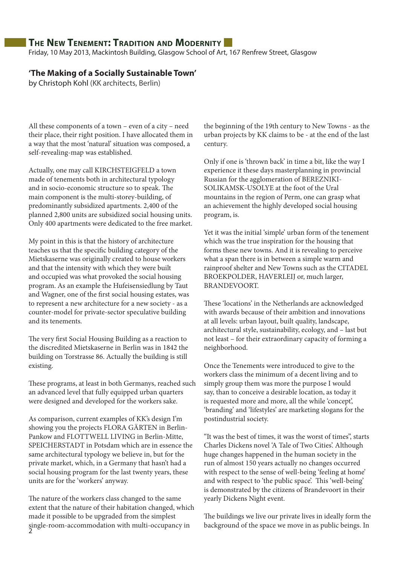### **The New Tenement: Tradition and Modernity**

Friday, 10 May 2013, Mackintosh Building, Glasgow School of Art, 167 Renfrew Street, Glasgow

### **'The Making of a Socially Sustainable Town'**

by Christoph Kohl (KK architects, Berlin)

All these components of a town – even of a city – need their place, their right position. I have allocated them in a way that the most 'natural' situation was composed, a self-revealing-map was established.

Actually, one may call KIRCHSTEIGFELD a town made of tenements both in architectural typology and in socio-economic structure so to speak. The main component is the multi-storey-building, of predominantly subsidized apartments. 2,400 of the planned 2,800 units are subsidized social housing units. Only 400 apartments were dedicated to the free market.

My point in this is that the history of architecture teaches us that the specific building category of the Mietskaserne was originally created to house workers and that the intensity with which they were built and occupied was what provoked the social housing program. As an example the Hufeisensiedlung by Taut and Wagner, one of the first social housing estates, was to represent a new architecture for a new society - as a counter-model for private-sector speculative building and its tenements.

The very first Social Housing Building as a reaction to the discredited Mietskaserne in Berlin was in 1842 the building on Torstrasse 86. Actually the building is still existing.

These programs, at least in both Germanys, reached such an advanced level that fully equipped urban quarters were designed and developed for the workers sake.

As comparison, current examples of KK's design I'm showing you the projects FLORA GÄRTEN in Berlin-Pankow and FLOTTWELL LIVING in Berlin-Mitte, SPEICHERSTADT in Potsdam which are in essence the same architectural typology we believe in, but for the private market, which, in a Germany that hasn't had a social housing program for the last twenty years, these units are for the 'workers' anyway.

2 single-room-accommodation with multi-occupancy in The nature of the workers class changed to the same extent that the nature of their habitation changed, which made it possible to be upgraded from the simplest

the beginning of the 19th century to New Towns - as the urban projects by KK claims to be - at the end of the last century.

Only if one is 'thrown back' in time a bit, like the way I experience it these days masterplanning in provincial Russian for the agglomeration of BEREZNIKI-SOLIKAMSK-USOLYE at the foot of the Ural mountains in the region of Perm, one can grasp what an achievement the highly developed social housing program, is.

Yet it was the initial 'simple' urban form of the tenement which was the true inspiration for the housing that forms these new towns. And it is revealing to perceive what a span there is in between a simple warm and rainproof shelter and New Towns such as the CITADEL BROEKPOLDER, HAVERLEIJ or, much larger, BRANDEVOORT.

These 'locations' in the Netherlands are acknowledged with awards because of their ambition and innovations at all levels: urban layout, built quality, landscape, architectural style, sustainability, ecology, and – last but not least – for their extraordinary capacity of forming a neighborhood.

Once the Tenements were introduced to give to the workers class the minimum of a decent living and to simply group them was more the purpose I would say, than to conceive a desirable location, as today it is requested more and more, all the while 'concept', 'branding' and 'lifestyles' are marketing slogans for the postindustrial society.

"It was the best of times, it was the worst of times", starts Charles Dickens novel 'A Tale of Two Cities'. Although huge changes happened in the human society in the run of almost 150 years actually no changes occurred with respect to the sense of well-being 'feeling at home' and with respect to 'the public space'. This 'well-being' is demonstrated by the citizens of Brandevoort in their yearly Dickens Night event.

The buildings we live our private lives in ideally form the background of the space we move in as public beings. In